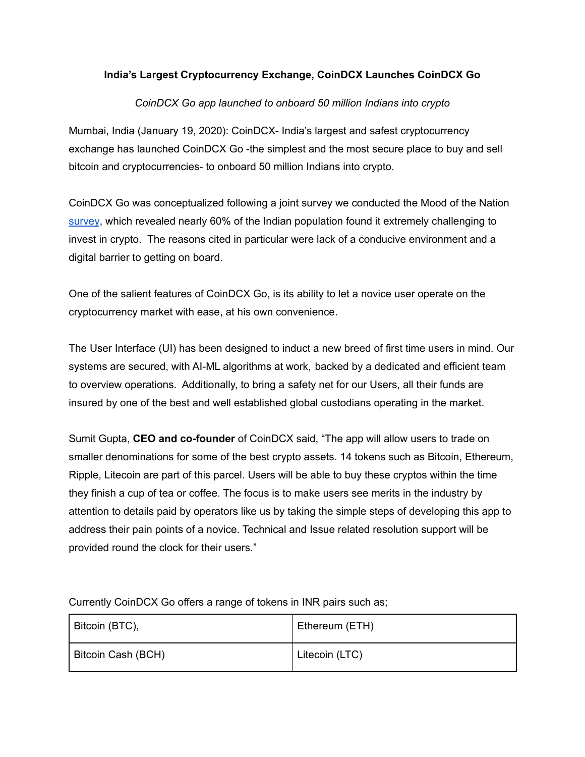## **India's Largest Cryptocurrency Exchange, CoinDCX Launches CoinDCX Go**

## *CoinDCX Go app launched to onboard 50 million Indians into crypto*

Mumbai, India (January 19, 2020): CoinDCX- India's largest and safest cryptocurrency exchange has launched CoinDCX Go -the simplest and the most secure place to buy and sell bitcoin and cryptocurrencies- to onboard 50 million Indians into crypto.

CoinDCX Go was conceptualized following a joint survey we conducted the Mood of the Nation [survey](https://www.zeebiz.com/personal-finance/news-cryptocurrency-mood-of-the-nation-revealed-crypto-investor-behaviour-trends-141829), which revealed nearly 60% of the Indian population found it extremely challenging to invest in crypto. The reasons cited in particular were lack of a conducive environment and a digital barrier to getting on board.

One of the salient features of CoinDCX Go, is its ability to let a novice user operate on the cryptocurrency market with ease, at his own convenience.

The User Interface (UI) has been designed to induct a new breed of first time users in mind. Our systems are secured, with AI-ML algorithms at work, backed by a dedicated and efficient team to overview operations. Additionally, to bring a safety net for our Users, all their funds are insured by one of the best and well established global custodians operating in the market.

Sumit Gupta, **CEO and co-founder** of CoinDCX said, "The app will allow users to trade on smaller denominations for some of the best crypto assets. 14 tokens such as Bitcoin, Ethereum, Ripple, Litecoin are part of this parcel. Users will be able to buy these cryptos within the time they finish a cup of tea or coffee. The focus is to make users see merits in the industry by attention to details paid by operators like us by taking the simple steps of developing this app to address their pain points of a novice. Technical and Issue related resolution support will be provided round the clock for their users."

| Bitcoin (BTC),     | Ethereum (ETH) |
|--------------------|----------------|
| Bitcoin Cash (BCH) | Litecoin (LTC) |

Currently CoinDCX Go offers a range of tokens in INR pairs such as;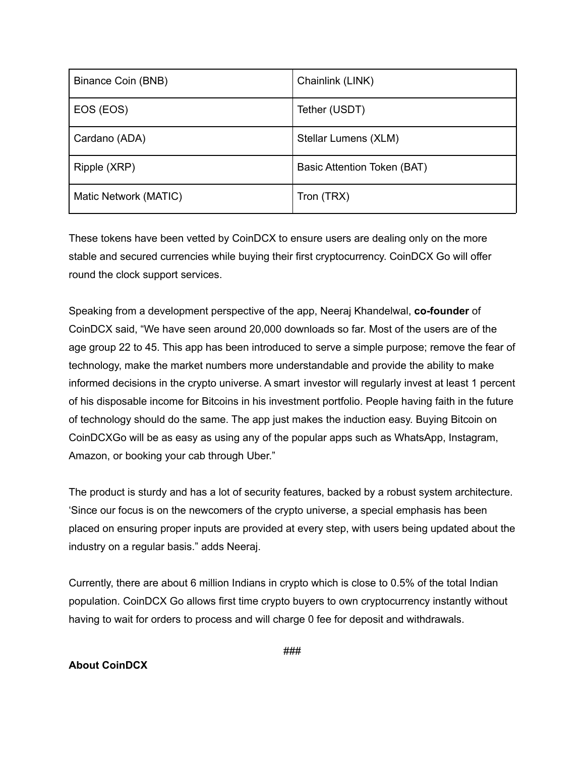| Binance Coin (BNB)    | Chainlink (LINK)            |
|-----------------------|-----------------------------|
| EOS (EOS)             | Tether (USDT)               |
| Cardano (ADA)         | Stellar Lumens (XLM)        |
| Ripple (XRP)          | Basic Attention Token (BAT) |
| Matic Network (MATIC) | Tron (TRX)                  |

These tokens have been vetted by CoinDCX to ensure users are dealing only on the more stable and secured currencies while buying their first cryptocurrency. CoinDCX Go will offer round the clock support services.

Speaking from a development perspective of the app, Neeraj Khandelwal, **co-founder** of CoinDCX said, "We have seen around 20,000 downloads so far. Most of the users are of the age group 22 to 45. This app has been introduced to serve a simple purpose; remove the fear of technology, make the market numbers more understandable and provide the ability to make informed decisions in the crypto universe. A smart investor will regularly invest at least 1 percent of his disposable income for Bitcoins in his investment portfolio. People having faith in the future of technology should do the same. The app just makes the induction easy. Buying Bitcoin on CoinDCXGo will be as easy as using any of the popular apps such as WhatsApp, Instagram, Amazon, or booking your cab through Uber."

The product is sturdy and has a lot of security features, backed by a robust system architecture. 'Since our focus is on the newcomers of the crypto universe, a special emphasis has been placed on ensuring proper inputs are provided at every step, with users being updated about the industry on a regular basis." adds Neeraj.

Currently, there are about 6 million Indians in crypto which is close to 0.5% of the total Indian population. CoinDCX Go allows first time crypto buyers to own cryptocurrency instantly without having to wait for orders to process and will charge 0 fee for deposit and withdrawals.

## **About CoinDCX**